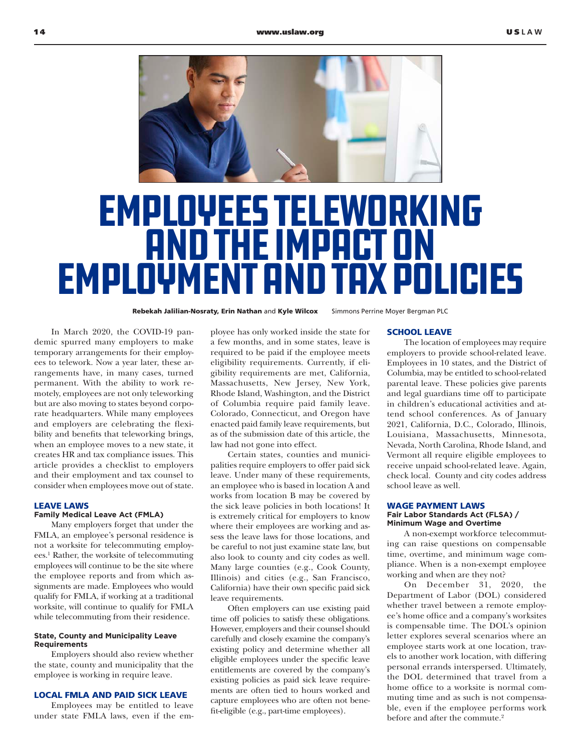

# Employees Teleworking and the Impact on Employment and Tax Policies

Rebekah Jalilian-Nosraty, Erin Nathan and Kyle Wilcox Simmons Perrine Moyer Bergman PLC

In March 2020, the COVID-19 pandemic spurred many employers to make temporary arrangements for their employees to telework. Now a year later, these arrangements have, in many cases, turned permanent. With the ability to work remotely, employees are not only teleworking but are also moving to states beyond corporate headquarters. While many employees and employers are celebrating the flexibility and benefits that teleworking brings, when an employee moves to a new state, it creates HR and tax compliance issues. This article provides a checklist to employers and their employment and tax counsel to consider when employees move out of state.

## LEAVE LAWS

## **Family Medical Leave Act (FMLA)**

Many employers forget that under the FMLA, an employee's personal residence is not a worksite for telecommuting employees.1 Rather, the worksite of telecommuting employees will continue to be the site where the employee reports and from which assignments are made. Employees who would qualify for FMLA, if working at a traditional worksite, will continue to qualify for FMLA while telecommuting from their residence.

### **State, County and Municipality Leave Requirements**

Employers should also review whether the state, county and municipality that the employee is working in require leave.

## LOCAL FMLA AND PAID SICK LEAVE

Employees may be entitled to leave under state FMLA laws, even if the em-

ployee has only worked inside the state for a few months, and in some states, leave is required to be paid if the employee meets eligibility requirements. Currently, if eligibility requirements are met, California, Massachusetts, New Jersey, New York, Rhode Island, Washington, and the District of Columbia require paid family leave. Colorado, Connecticut, and Oregon have enacted paid family leave requirements, but as of the submission date of this article, the law had not gone into effect.

Certain states, counties and municipalities require employers to offer paid sick leave. Under many of these requirements, an employee who is based in location A and works from location B may be covered by the sick leave policies in both locations! It is extremely critical for employers to know where their employees are working and assess the leave laws for those locations, and be careful to not just examine state law, but also look to county and city codes as well. Many large counties (e.g., Cook County, Illinois) and cities (e.g., San Francisco, California) have their own specific paid sick leave requirements.

Often employers can use existing paid time off policies to satisfy these obligations. However, employers and their counsel should carefully and closely examine the company's existing policy and determine whether all eligible employees under the specific leave entitlements are covered by the company's existing policies as paid sick leave requirements are often tied to hours worked and capture employees who are often not benefit-eligible (e.g., part-time employees).

#### SCHOOL LEAVE

The location of employees may require employers to provide school-related leave. Employees in 10 states, and the District of Columbia, may be entitled to school-related parental leave. These policies give parents and legal guardians time off to participate in children's educational activities and attend school conferences. As of January 2021, California, D.C., Colorado, Illinois, Louisiana, Massachusetts, Minnesota, Nevada, North Carolina, Rhode Island, and Vermont all require eligible employees to receive unpaid school-related leave. Again, check local. County and city codes address school leave as well.

#### WAGE PAYMENT LAWS **Fair Labor Standards Act (FLSA) / Minimum Wage and Overtime**

A non-exempt workforce telecommuting can raise questions on compensable time, overtime, and minimum wage compliance. When is a non-exempt employee working and when are they not?

On December 31, 2020, the Department of Labor (DOL) considered whether travel between a remote employee's home office and a company's worksites is compensable time. The DOL's opinion letter explores several scenarios where an employee starts work at one location, travels to another work location, with differing personal errands interspersed. Ultimately, the DOL determined that travel from a home office to a worksite is normal commuting time and as such is not compensable, even if the employee performs work before and after the commute.<sup>2</sup>